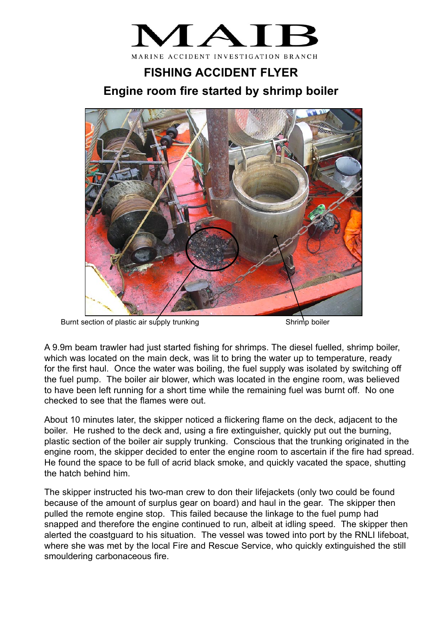

## **FISHING ACCIDENT FLYER Engine room fire started by shrimp boiler**



Burnt section of plastic air supply trunking Shrimp boiler

A 9.9m beam trawler had just started fishing for shrimps. The diesel fuelled, shrimp boiler, which was located on the main deck, was lit to bring the water up to temperature, ready for the first haul. Once the water was boiling, the fuel supply was isolated by switching off the fuel pump. The boiler air blower, which was located in the engine room, was believed to have been left running for a short time while the remaining fuel was burnt off. No one checked to see that the flames were out.

About 10 minutes later, the skipper noticed a flickering flame on the deck, adjacent to the boiler. He rushed to the deck and, using a fire extinguisher, quickly put out the burning, plastic section of the boiler air supply trunking. Conscious that the trunking originated in the engine room, the skipper decided to enter the engine room to ascertain if the fire had spread. He found the space to be full of acrid black smoke, and quickly vacated the space, shutting the hatch behind him.

The skipper instructed his two-man crew to don their lifejackets (only two could be found because of the amount of surplus gear on board) and haul in the gear. The skipper then pulled the remote engine stop. This failed because the linkage to the fuel pump had snapped and therefore the engine continued to run, albeit at idling speed. The skipper then alerted the coastguard to his situation. The vessel was towed into port by the RNLI lifeboat, where she was met by the local Fire and Rescue Service, who quickly extinguished the still smouldering carbonaceous fire.